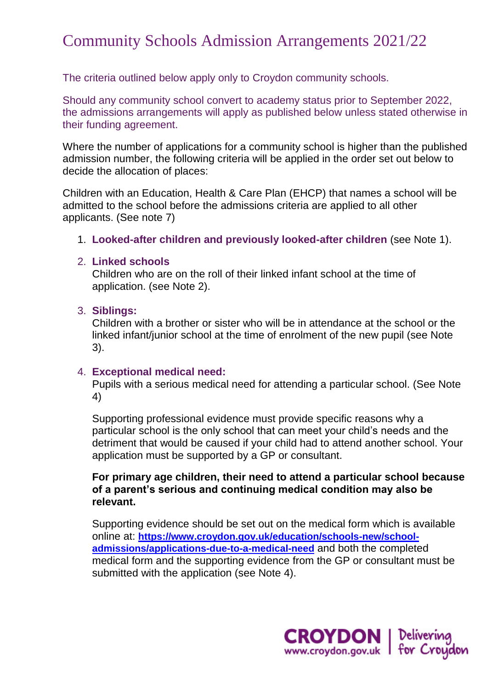# Community Schools Admission Arrangements 2021/22

The criteria outlined below apply only to Croydon community schools.

Should any community school convert to academy status prior to September 2022, the admissions arrangements will apply as published below unless stated otherwise in their funding agreement.

Where the number of applications for a community school is higher than the published admission number, the following criteria will be applied in the order set out below to decide the allocation of places:

Children with an Education, Health & Care Plan (EHCP) that names a school will be admitted to the school before the admissions criteria are applied to all other applicants. (See note 7)

1. **Looked-after children and previously looked-after children** (see Note 1).

#### 2. **Linked schools**

Children who are on the roll of their linked infant school at the time of application. (see Note 2).

#### 3. **Siblings:**

Children with a brother or sister who will be in attendance at the school or the linked infant/junior school at the time of enrolment of the new pupil (see Note 3).

#### 4. **Exceptional medical need:**

Pupils with a serious medical need for attending a particular school. (See Note 4)

Supporting professional evidence must provide specific reasons why a particular school is the only school that can meet your child's needs and the detriment that would be caused if your child had to attend another school. Your application must be supported by a GP or consultant.

**For primary age children, their need to attend a particular school because of a parent's serious and continuing medical condition may also be relevant.** 

Supporting evidence should be set out on the medical form which is available online at: **[https://www.croydon.gov.uk/education/schools-new/school](https://www.croydon.gov.uk/education/schools-new/school-admissions/applications-due-to-a-medical-need)[admissions/applications-due-to-a-medical-need](https://www.croydon.gov.uk/education/schools-new/school-admissions/applications-due-to-a-medical-need)** and both the completed medical form and the supporting evidence from the GP or consultant must be submitted with the application (see Note 4).

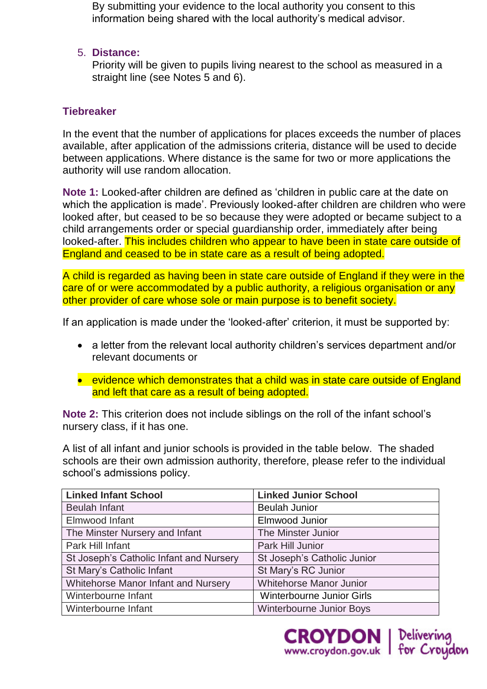By submitting your evidence to the local authority you consent to this information being shared with the local authority's medical advisor.

#### 5. **Distance:**

Priority will be given to pupils living nearest to the school as measured in a straight line (see Notes 5 and 6).

# **Tiebreaker**

In the event that the number of applications for places exceeds the number of places available, after application of the admissions criteria, distance will be used to decide between applications. Where distance is the same for two or more applications the authority will use random allocation.

**Note 1:** Looked-after children are defined as 'children in public care at the date on which the application is made'. Previously looked-after children are children who were looked after, but ceased to be so because they were adopted or became subject to a child arrangements order or special guardianship order, immediately after being looked-after. This includes children who appear to have been in state care outside of England and ceased to be in state care as a result of being adopted.

A child is regarded as having been in state care outside of England if they were in the care of or were accommodated by a public authority, a religious organisation or any other provider of care whose sole or main purpose is to benefit society.

If an application is made under the 'looked-after' criterion, it must be supported by:

- a letter from the relevant local authority children's services department and/or relevant documents or
- evidence which demonstrates that a child was in state care outside of England and left that care as a result of being adopted.

**Note 2:** This criterion does not include siblings on the roll of the infant school's nursery class, if it has one.

A list of all infant and junior schools is provided in the table below. The shaded schools are their own admission authority, therefore, please refer to the individual school's admissions policy.

| <b>Linked Infant School</b>             | <b>Linked Junior School</b>      |
|-----------------------------------------|----------------------------------|
| <b>Beulah Infant</b>                    | <b>Beulah Junior</b>             |
| Elmwood Infant                          | <b>Elmwood Junior</b>            |
| The Minster Nursery and Infant          | The Minster Junior               |
| Park Hill Infant                        | Park Hill Junior                 |
| St Joseph's Catholic Infant and Nursery | St Joseph's Catholic Junior      |
| St Mary's Catholic Infant               | St Mary's RC Junior              |
| Whitehorse Manor Infant and Nursery     | <b>Whitehorse Manor Junior</b>   |
| Winterbourne Infant                     | <b>Winterbourne Junior Girls</b> |
| Winterbourne Infant                     | <b>Winterbourne Junior Boys</b>  |

**CROYDON** | Delivering<br>www.croydon.gov.uk | for Croydon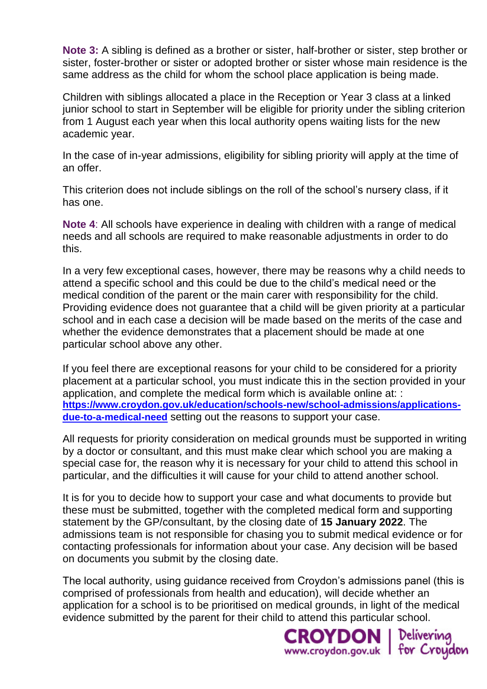**Note 3:** A sibling is defined as a brother or sister, half-brother or sister, step brother or sister, foster-brother or sister or adopted brother or sister whose main residence is the same address as the child for whom the school place application is being made.

Children with siblings allocated a place in the Reception or Year 3 class at a linked junior school to start in September will be eligible for priority under the sibling criterion from 1 August each year when this local authority opens waiting lists for the new academic year.

In the case of in-year admissions, eligibility for sibling priority will apply at the time of an offer.

This criterion does not include siblings on the roll of the school's nursery class, if it has one.

**Note 4**: All schools have experience in dealing with children with a range of medical needs and all schools are required to make reasonable adjustments in order to do this.

In a very few exceptional cases, however, there may be reasons why a child needs to attend a specific school and this could be due to the child's medical need or the medical condition of the parent or the main carer with responsibility for the child. Providing evidence does not guarantee that a child will be given priority at a particular school and in each case a decision will be made based on the merits of the case and whether the evidence demonstrates that a placement should be made at one particular school above any other.

If you feel there are exceptional reasons for your child to be considered for a priority placement at a particular school, you must indicate this in the section provided in your application, and complete the medical form which is available online at: : **[https://www.croydon.gov.uk/education/schools-new/school-admissions/applications](https://www.croydon.gov.uk/education/schools-new/school-admissions/applications-due-to-a-medical-need)[due-to-a-medical-need](https://www.croydon.gov.uk/education/schools-new/school-admissions/applications-due-to-a-medical-need)** setting out the reasons to support your case.

All requests for priority consideration on medical grounds must be supported in writing by a doctor or consultant, and this must make clear which school you are making a special case for, the reason why it is necessary for your child to attend this school in particular, and the difficulties it will cause for your child to attend another school.

It is for you to decide how to support your case and what documents to provide but these must be submitted, together with the completed medical form and supporting statement by the GP/consultant, by the closing date of **15 January 2022**. The admissions team is not responsible for chasing you to submit medical evidence or for contacting professionals for information about your case. Any decision will be based on documents you submit by the closing date.

The local authority, using guidance received from Croydon's admissions panel (this is comprised of professionals from health and education), will decide whether an application for a school is to be prioritised on medical grounds, in light of the medical evidence submitted by the parent for their child to attend this particular school.

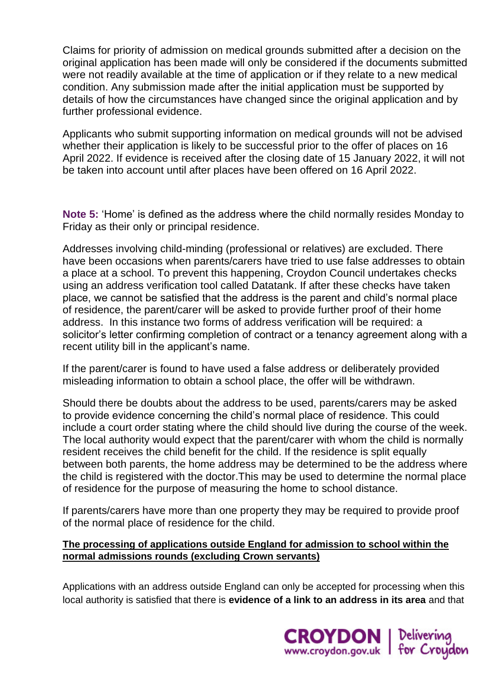Claims for priority of admission on medical grounds submitted after a decision on the original application has been made will only be considered if the documents submitted were not readily available at the time of application or if they relate to a new medical condition. Any submission made after the initial application must be supported by details of how the circumstances have changed since the original application and by further professional evidence.

Applicants who submit supporting information on medical grounds will not be advised whether their application is likely to be successful prior to the offer of places on 16 April 2022. If evidence is received after the closing date of 15 January 2022, it will not be taken into account until after places have been offered on 16 April 2022.

**Note 5:** 'Home' is defined as the address where the child normally resides Monday to Friday as their only or principal residence.

Addresses involving child-minding (professional or relatives) are excluded. There have been occasions when parents/carers have tried to use false addresses to obtain a place at a school. To prevent this happening, Croydon Council undertakes checks using an address verification tool called Datatank. If after these checks have taken place, we cannot be satisfied that the address is the parent and child's normal place of residence, the parent/carer will be asked to provide further proof of their home address. In this instance two forms of address verification will be required: a solicitor's letter confirming completion of contract or a tenancy agreement along with a recent utility bill in the applicant's name.

If the parent/carer is found to have used a false address or deliberately provided misleading information to obtain a school place, the offer will be withdrawn.

Should there be doubts about the address to be used, parents/carers may be asked to provide evidence concerning the child's normal place of residence. This could include a court order stating where the child should live during the course of the week. The local authority would expect that the parent/carer with whom the child is normally resident receives the child benefit for the child. If the residence is split equally between both parents, the home address may be determined to be the address where the child is registered with the doctor.This may be used to determine the normal place of residence for the purpose of measuring the home to school distance.

If parents/carers have more than one property they may be required to provide proof of the normal place of residence for the child.

#### **The processing of applications outside England for admission to school within the normal admissions rounds (excluding Crown servants)**

Applications with an address outside England can only be accepted for processing when this local authority is satisfied that there is **evidence of a link to an address in its area** and that

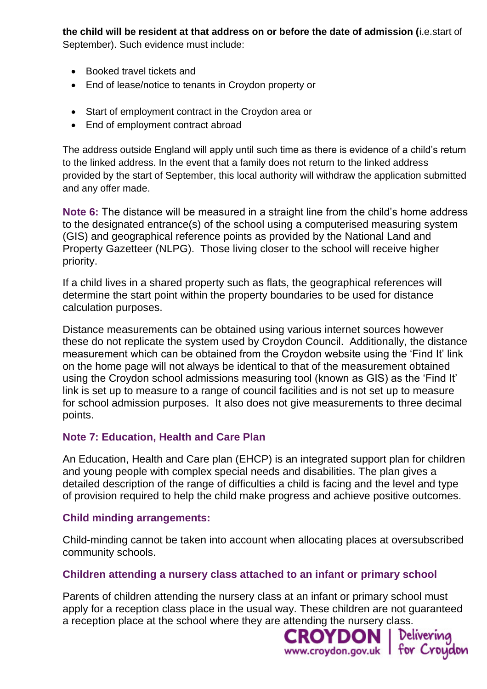**the child will be resident at that address on or before the date of admission (**i.e.start of September). Such evidence must include:

- Booked travel tickets and
- End of lease/notice to tenants in Croydon property or
- Start of employment contract in the Croydon area or
- End of employment contract abroad

The address outside England will apply until such time as there is evidence of a child's return to the linked address. In the event that a family does not return to the linked address provided by the start of September, this local authority will withdraw the application submitted and any offer made.

**Note 6:** The distance will be measured in a straight line from the child's home address to the designated entrance(s) of the school using a computerised measuring system (GIS) and geographical reference points as provided by the National Land and Property Gazetteer (NLPG). Those living closer to the school will receive higher priority.

If a child lives in a shared property such as flats, the geographical references will determine the start point within the property boundaries to be used for distance calculation purposes.

Distance measurements can be obtained using various internet sources however these do not replicate the system used by Croydon Council. Additionally, the distance measurement which can be obtained from the Croydon website using the 'Find It' link on the home page will not always be identical to that of the measurement obtained using the Croydon school admissions measuring tool (known as GIS) as the 'Find It' link is set up to measure to a range of council facilities and is not set up to measure for school admission purposes. It also does not give measurements to three decimal points.

## **Note 7: Education, Health and Care Plan**

An Education, Health and Care plan (EHCP) is an integrated support plan for children and young people with complex special needs and disabilities. The plan gives a detailed description of the range of difficulties a child is facing and the level and type of provision required to help the child make progress and achieve positive outcomes.

## **Child minding arrangements:**

Child-minding cannot be taken into account when allocating places at oversubscribed community schools.

## **Children attending a nursery class attached to an infant or primary school**

Parents of children attending the nursery class at an infant or primary school must apply for a reception class place in the usual way. These children are not guaranteed a reception place at the school where they are attending the nursery class.

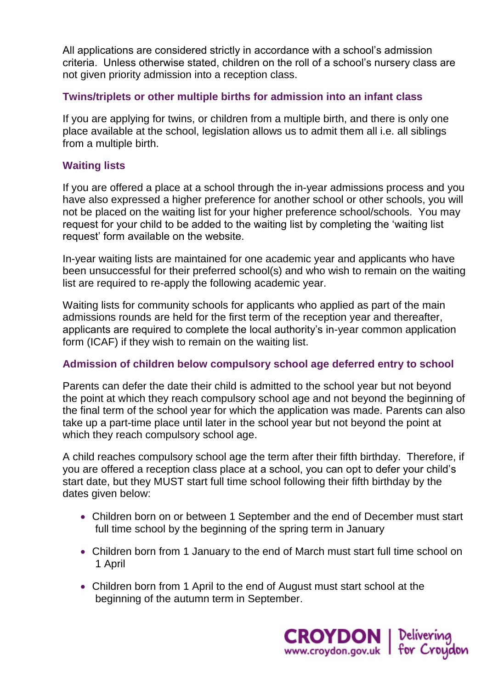All applications are considered strictly in accordance with a school's admission criteria. Unless otherwise stated, children on the roll of a school's nursery class are not given priority admission into a reception class.

## **Twins/triplets or other multiple births for admission into an infant class**

If you are applying for twins, or children from a multiple birth, and there is only one place available at the school, legislation allows us to admit them all i.e. all siblings from a multiple birth.

## **Waiting lists**

If you are offered a place at a school through the in-year admissions process and you have also expressed a higher preference for another school or other schools, you will not be placed on the waiting list for your higher preference school/schools. You may request for your child to be added to the waiting list by completing the 'waiting list request' form available on the website.

In-year waiting lists are maintained for one academic year and applicants who have been unsuccessful for their preferred school(s) and who wish to remain on the waiting list are required to re-apply the following academic year.

Waiting lists for community schools for applicants who applied as part of the main admissions rounds are held for the first term of the reception year and thereafter, applicants are required to complete the local authority's in-year common application form (ICAF) if they wish to remain on the waiting list.

## **Admission of children below compulsory school age deferred entry to school**

Parents can defer the date their child is admitted to the school year but not beyond the point at which they reach compulsory school age and not beyond the beginning of the final term of the school year for which the application was made. Parents can also take up a part-time place until later in the school year but not beyond the point at which they reach compulsory school age.

A child reaches compulsory school age the term after their fifth birthday. Therefore, if you are offered a reception class place at a school, you can opt to defer your child's start date, but they MUST start full time school following their fifth birthday by the dates given below:

- Children born on or between 1 September and the end of December must start full time school by the beginning of the spring term in January
- Children born from 1 January to the end of March must start full time school on 1 April
- Children born from 1 April to the end of August must start school at the beginning of the autumn term in September.

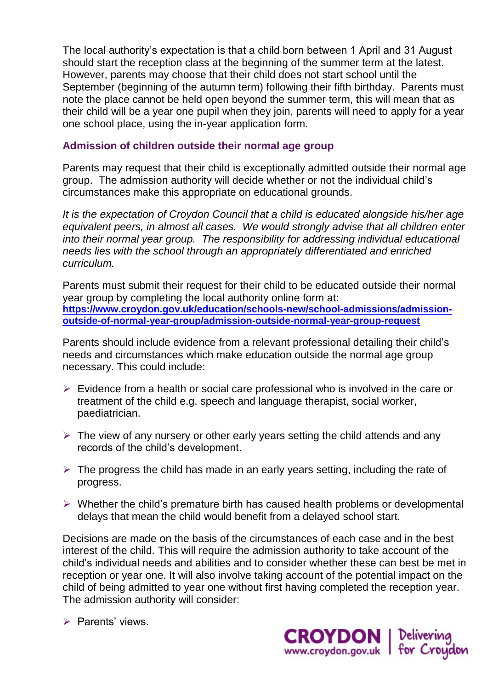The local authority's expectation is that a child born between 1 April and 31 August should start the reception class at the beginning of the summer term at the latest. However, parents may choose that their child does not start school until the September (beginning of the autumn term) following their fifth birthday. Parents must note the place cannot be held open beyond the summer term, this will mean that as their child will be a year one pupil when they join, parents will need to apply for a year one school place, using the in-year application form.

#### **Admission of children outside their normal age group**

Parents may request that their child is exceptionally admitted outside their normal age group. The admission authority will decide whether or not the individual child's circumstances make this appropriate on educational grounds.

*It is the expectation of Croydon Council that a child is educated alongside his/her age equivalent peers, in almost all cases. We would strongly advise that all children enter into their normal year group. The responsibility for addressing individual educational needs lies with the school through an appropriately differentiated and enriched curriculum.*

Parents must submit their request for their child to be educated outside their normal year group by completing the local authority online form at: **[https://www.croydon.gov.uk/education/schools-new/school-admissions/admission](https://www.croydon.gov.uk/education/schools-new/school-admissions/admission-outside-of-normal-year-group/admission-outside-normal-year-group-request)[outside-of-normal-year-group/admission-outside-normal-year-group-request](https://www.croydon.gov.uk/education/schools-new/school-admissions/admission-outside-of-normal-year-group/admission-outside-normal-year-group-request)**

Parents should include evidence from a relevant professional detailing their child's needs and circumstances which make education outside the normal age group necessary. This could include:

- $\triangleright$  Evidence from a health or social care professional who is involved in the care or treatment of the child e.g. speech and language therapist, social worker, paediatrician.
- $\triangleright$  The view of any nursery or other early years setting the child attends and any records of the child's development.
- $\triangleright$  The progress the child has made in an early years setting, including the rate of progress.
- $\triangleright$  Whether the child's premature birth has caused health problems or developmental delays that mean the child would benefit from a delayed school start.

Decisions are made on the basis of the circumstances of each case and in the best interest of the child. This will require the admission authority to take account of the child's individual needs and abilities and to consider whether these can best be met in reception or year one. It will also involve taking account of the potential impact on the child of being admitted to year one without first having completed the reception year. The admission authority will consider:

 $\triangleright$  Parents' views.